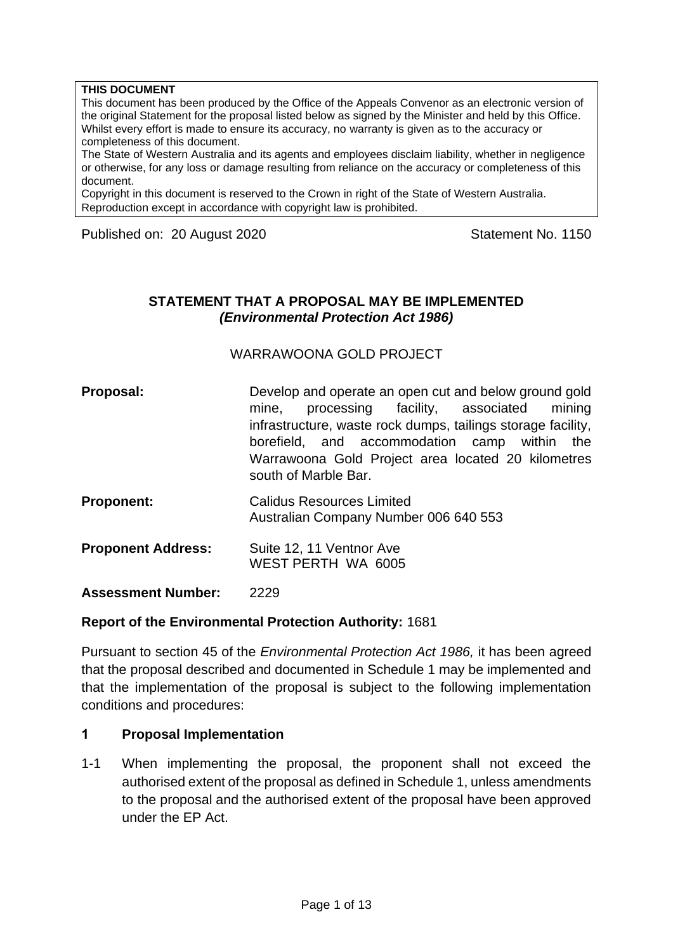#### **THIS DOCUMENT**

This document has been produced by the Office of the Appeals Convenor as an electronic version of the original Statement for the proposal listed below as signed by the Minister and held by this Office. Whilst every effort is made to ensure its accuracy, no warranty is given as to the accuracy or completeness of this document.

The State of Western Australia and its agents and employees disclaim liability, whether in negligence or otherwise, for any loss or damage resulting from reliance on the accuracy or completeness of this document.

Copyright in this document is reserved to the Crown in right of the State of Western Australia. Reproduction except in accordance with copyright law is prohibited.

Published on: 20 August 2020 Statement No. 1150

### **STATEMENT THAT A PROPOSAL MAY BE IMPLEMENTED** *(Environmental Protection Act 1986)*

WARRAWOONA GOLD PROJECT

- **Proposal:** Develop and operate an open cut and below ground gold mine, processing facility, associated mining infrastructure, waste rock dumps, tailings storage facility, borefield, and accommodation camp within the Warrawoona Gold Project area located 20 kilometres south of Marble Bar.
- **Proponent:** Calidus Resources Limited Australian Company Number 006 640 553
- **Proponent Address:** Suite 12, 11 Ventnor Ave WEST PERTH WA 6005

**Assessment Number:** 2229

#### **Report of the Environmental Protection Authority:** 1681

Pursuant to section 45 of the *Environmental Protection Act 1986,* it has been agreed that the proposal described and documented in Schedule 1 may be implemented and that the implementation of the proposal is subject to the following implementation conditions and procedures:

#### **1 Proposal Implementation**

1-1 When implementing the proposal, the proponent shall not exceed the authorised extent of the proposal as defined in Schedule 1, unless amendments to the proposal and the authorised extent of the proposal have been approved under the EP Act.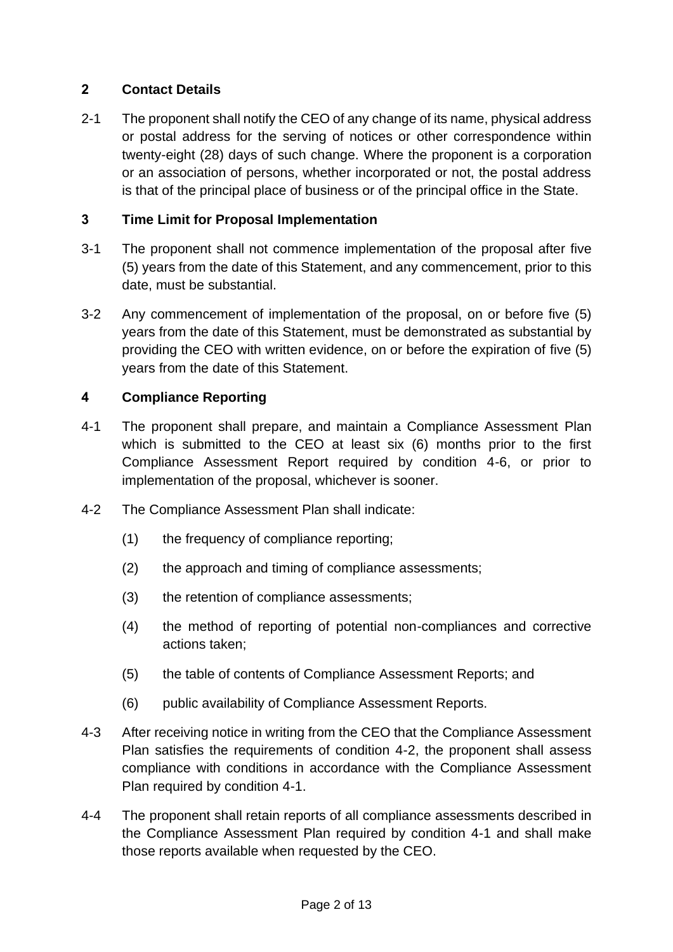## **2 Contact Details**

2-1 The proponent shall notify the CEO of any change of its name, physical address or postal address for the serving of notices or other correspondence within twenty-eight (28) days of such change. Where the proponent is a corporation or an association of persons, whether incorporated or not, the postal address is that of the principal place of business or of the principal office in the State.

### **3 Time Limit for Proposal Implementation**

- 3-1 The proponent shall not commence implementation of the proposal after five (5) years from the date of this Statement, and any commencement, prior to this date, must be substantial.
- 3-2 Any commencement of implementation of the proposal, on or before five (5) years from the date of this Statement, must be demonstrated as substantial by providing the CEO with written evidence, on or before the expiration of five (5) years from the date of this Statement.

### **4 Compliance Reporting**

- 4-1 The proponent shall prepare, and maintain a Compliance Assessment Plan which is submitted to the CEO at least six (6) months prior to the first Compliance Assessment Report required by condition 4-6, or prior to implementation of the proposal, whichever is sooner.
- 4-2 The Compliance Assessment Plan shall indicate:
	- (1) the frequency of compliance reporting;
	- (2) the approach and timing of compliance assessments;
	- (3) the retention of compliance assessments;
	- (4) the method of reporting of potential non-compliances and corrective actions taken;
	- (5) the table of contents of Compliance Assessment Reports; and
	- (6) public availability of Compliance Assessment Reports.
- 4-3 After receiving notice in writing from the CEO that the Compliance Assessment Plan satisfies the requirements of condition 4-2, the proponent shall assess compliance with conditions in accordance with the Compliance Assessment Plan required by condition 4-1.
- 4-4 The proponent shall retain reports of all compliance assessments described in the Compliance Assessment Plan required by condition 4-1 and shall make those reports available when requested by the CEO.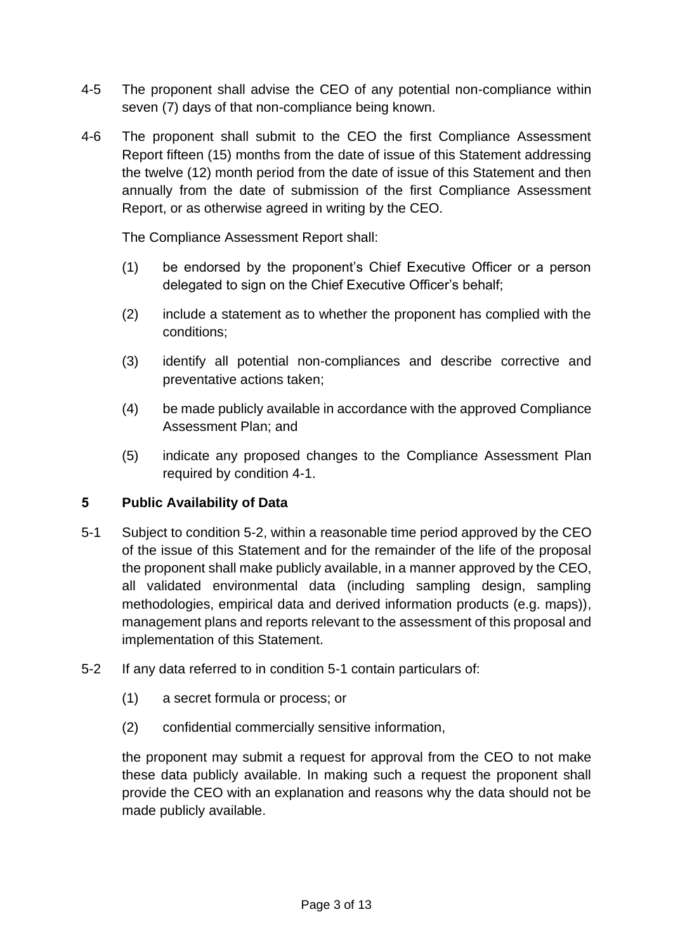- 4-5 The proponent shall advise the CEO of any potential non-compliance within seven (7) days of that non-compliance being known.
- 4-6 The proponent shall submit to the CEO the first Compliance Assessment Report fifteen (15) months from the date of issue of this Statement addressing the twelve (12) month period from the date of issue of this Statement and then annually from the date of submission of the first Compliance Assessment Report, or as otherwise agreed in writing by the CEO.

The Compliance Assessment Report shall:

- (1) be endorsed by the proponent's Chief Executive Officer or a person delegated to sign on the Chief Executive Officer's behalf;
- (2) include a statement as to whether the proponent has complied with the conditions;
- (3) identify all potential non-compliances and describe corrective and preventative actions taken;
- (4) be made publicly available in accordance with the approved Compliance Assessment Plan; and
- (5) indicate any proposed changes to the Compliance Assessment Plan required by condition 4-1.

### **5 Public Availability of Data**

- 5-1 Subject to condition 5-2, within a reasonable time period approved by the CEO of the issue of this Statement and for the remainder of the life of the proposal the proponent shall make publicly available, in a manner approved by the CEO, all validated environmental data (including sampling design, sampling methodologies, empirical data and derived information products (e.g. maps)), management plans and reports relevant to the assessment of this proposal and implementation of this Statement.
- 5-2 If any data referred to in condition 5-1 contain particulars of:
	- (1) a secret formula or process; or
	- (2) confidential commercially sensitive information,

the proponent may submit a request for approval from the CEO to not make these data publicly available. In making such a request the proponent shall provide the CEO with an explanation and reasons why the data should not be made publicly available.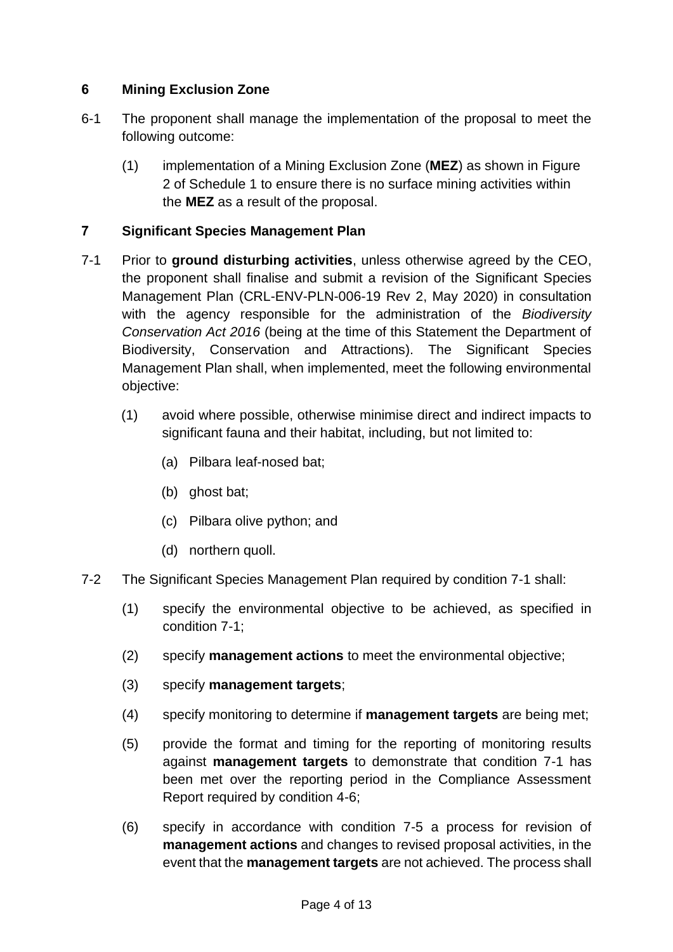## **6 Mining Exclusion Zone**

- 6-1 The proponent shall manage the implementation of the proposal to meet the following outcome:
	- (1) implementation of a Mining Exclusion Zone (**MEZ**) as shown in Figure 2 of Schedule 1 to ensure there is no surface mining activities within the **MEZ** as a result of the proposal.

## **7 Significant Species Management Plan**

- 7-1 Prior to **ground disturbing activities**, unless otherwise agreed by the CEO, the proponent shall finalise and submit a revision of the Significant Species Management Plan (CRL-ENV-PLN-006-19 Rev 2, May 2020) in consultation with the agency responsible for the administration of the *Biodiversity Conservation Act 2016* (being at the time of this Statement the Department of Biodiversity, Conservation and Attractions). The Significant Species Management Plan shall, when implemented, meet the following environmental objective:
	- (1) avoid where possible, otherwise minimise direct and indirect impacts to significant fauna and their habitat, including, but not limited to:
		- (a) Pilbara leaf-nosed bat;
		- (b) ghost bat;
		- (c) Pilbara olive python; and
		- (d) northern quoll.
- 7-2 The Significant Species Management Plan required by condition 7-1 shall:
	- (1) specify the environmental objective to be achieved, as specified in condition 7-1;
	- (2) specify **management actions** to meet the environmental objective;
	- (3) specify **management targets**;
	- (4) specify monitoring to determine if **management targets** are being met;
	- (5) provide the format and timing for the reporting of monitoring results against **management targets** to demonstrate that condition 7-1 has been met over the reporting period in the Compliance Assessment Report required by condition 4-6;
	- (6) specify in accordance with condition 7-5 a process for revision of **management actions** and changes to revised proposal activities, in the event that the **management targets** are not achieved. The process shall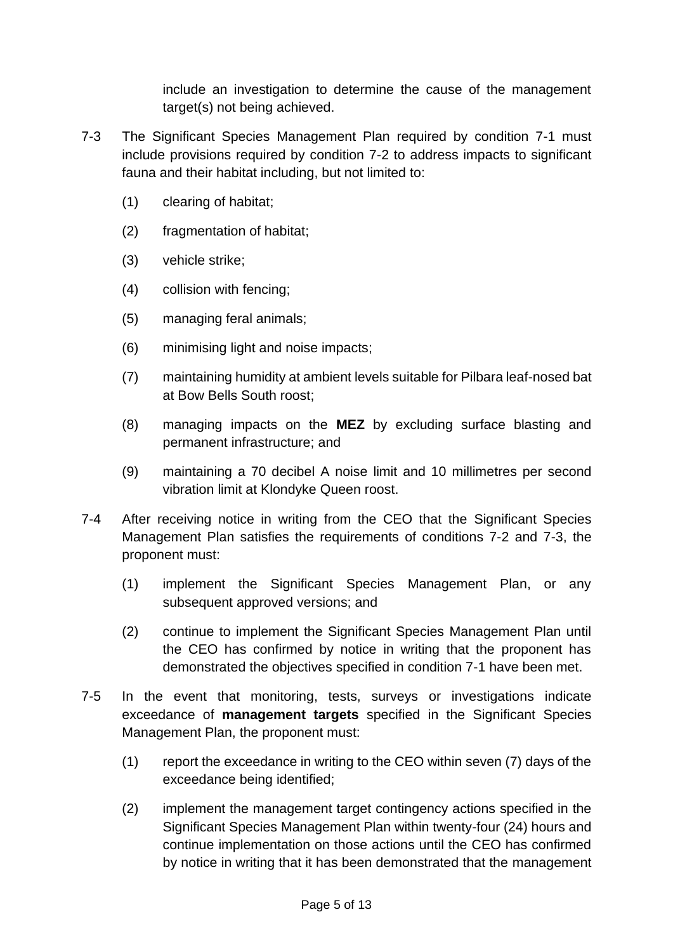include an investigation to determine the cause of the management target(s) not being achieved.

- 7-3 The Significant Species Management Plan required by condition 7-1 must include provisions required by condition 7-2 to address impacts to significant fauna and their habitat including, but not limited to:
	- (1) clearing of habitat;
	- (2) fragmentation of habitat;
	- (3) vehicle strike;
	- (4) collision with fencing;
	- (5) managing feral animals;
	- (6) minimising light and noise impacts;
	- (7) maintaining humidity at ambient levels suitable for Pilbara leaf-nosed bat at Bow Bells South roost;
	- (8) managing impacts on the **MEZ** by excluding surface blasting and permanent infrastructure; and
	- (9) maintaining a 70 decibel A noise limit and 10 millimetres per second vibration limit at Klondyke Queen roost.
- 7-4 After receiving notice in writing from the CEO that the Significant Species Management Plan satisfies the requirements of conditions 7-2 and 7-3, the proponent must:
	- (1) implement the Significant Species Management Plan, or any subsequent approved versions; and
	- (2) continue to implement the Significant Species Management Plan until the CEO has confirmed by notice in writing that the proponent has demonstrated the objectives specified in condition 7-1 have been met.
- 7-5 In the event that monitoring, tests, surveys or investigations indicate exceedance of **management targets** specified in the Significant Species Management Plan, the proponent must:
	- (1) report the exceedance in writing to the CEO within seven (7) days of the exceedance being identified;
	- (2) implement the management target contingency actions specified in the Significant Species Management Plan within twenty-four (24) hours and continue implementation on those actions until the CEO has confirmed by notice in writing that it has been demonstrated that the management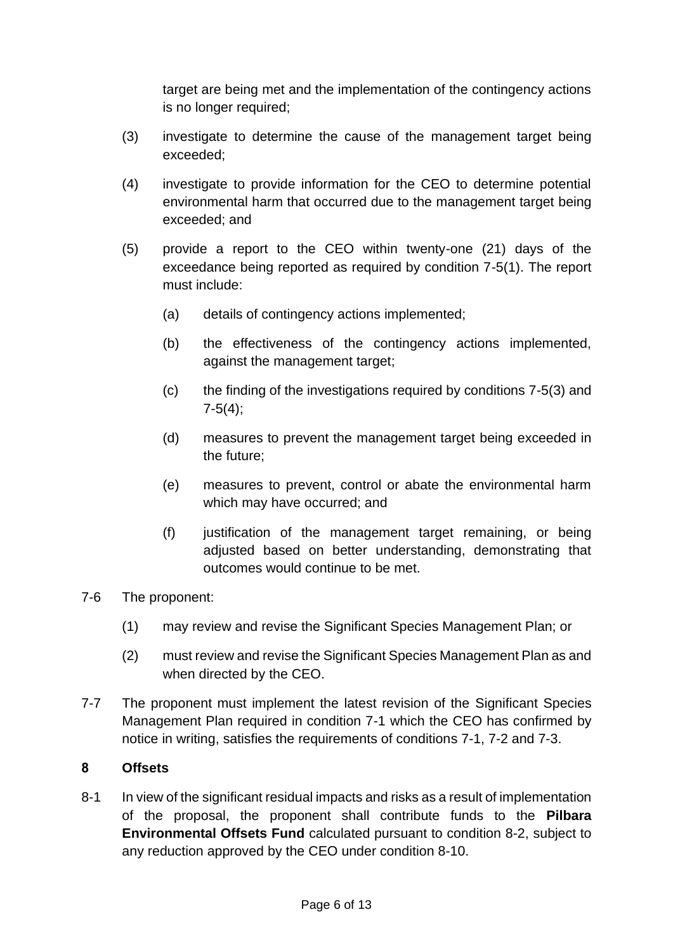target are being met and the implementation of the contingency actions is no longer required;

- (3) investigate to determine the cause of the management target being exceeded;
- (4) investigate to provide information for the CEO to determine potential environmental harm that occurred due to the management target being exceeded; and
- (5) provide a report to the CEO within twenty-one (21) days of the exceedance being reported as required by condition 7-5(1). The report must include:
	- (a) details of contingency actions implemented;
	- (b) the effectiveness of the contingency actions implemented, against the management target;
	- (c) the finding of the investigations required by conditions 7-5(3) and  $7-5(4)$ ;
	- (d) measures to prevent the management target being exceeded in the future;
	- (e) measures to prevent, control or abate the environmental harm which may have occurred; and
	- (f) justification of the management target remaining, or being adjusted based on better understanding, demonstrating that outcomes would continue to be met.
- 7-6 The proponent:
	- (1) may review and revise the Significant Species Management Plan; or
	- (2) must review and revise the Significant Species Management Plan as and when directed by the CEO.
- 7-7 The proponent must implement the latest revision of the Significant Species Management Plan required in condition 7-1 which the CEO has confirmed by notice in writing, satisfies the requirements of conditions 7-1, 7-2 and 7-3.

### **8 Offsets**

8-1 In view of the significant residual impacts and risks as a result of implementation of the proposal, the proponent shall contribute funds to the **Pilbara Environmental Offsets Fund** calculated pursuant to condition 8-2, subject to any reduction approved by the CEO under condition 8-10.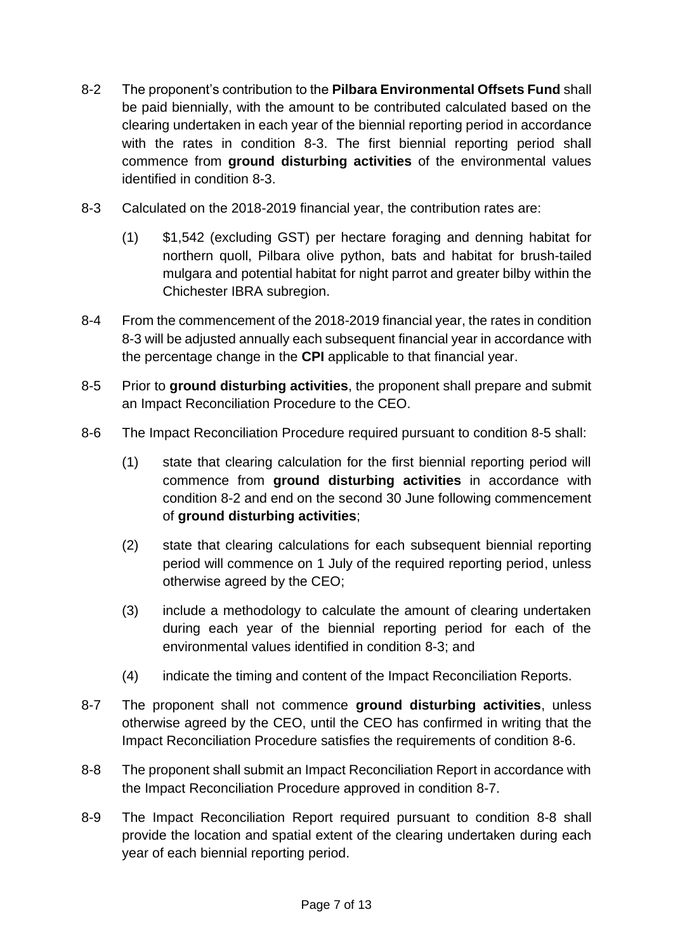- 8-2 The proponent's contribution to the **Pilbara Environmental Offsets Fund** shall be paid biennially, with the amount to be contributed calculated based on the clearing undertaken in each year of the biennial reporting period in accordance with the rates in condition 8-3. The first biennial reporting period shall commence from **ground disturbing activities** of the environmental values identified in condition 8-3.
- 8-3 Calculated on the 2018-2019 financial year, the contribution rates are:
	- (1) \$1,542 (excluding GST) per hectare foraging and denning habitat for northern quoll, Pilbara olive python, bats and habitat for brush-tailed mulgara and potential habitat for night parrot and greater bilby within the Chichester IBRA subregion.
- 8-4 From the commencement of the 2018-2019 financial year, the rates in condition 8-3 will be adjusted annually each subsequent financial year in accordance with the percentage change in the **CPI** applicable to that financial year.
- 8-5 Prior to **ground disturbing activities**, the proponent shall prepare and submit an Impact Reconciliation Procedure to the CEO.
- 8-6 The Impact Reconciliation Procedure required pursuant to condition 8-5 shall:
	- (1) state that clearing calculation for the first biennial reporting period will commence from **ground disturbing activities** in accordance with condition 8-2 and end on the second 30 June following commencement of **ground disturbing activities**;
	- (2) state that clearing calculations for each subsequent biennial reporting period will commence on 1 July of the required reporting period, unless otherwise agreed by the CEO;
	- (3) include a methodology to calculate the amount of clearing undertaken during each year of the biennial reporting period for each of the environmental values identified in condition 8-3; and
	- (4) indicate the timing and content of the Impact Reconciliation Reports.
- 8-7 The proponent shall not commence **ground disturbing activities**, unless otherwise agreed by the CEO, until the CEO has confirmed in writing that the Impact Reconciliation Procedure satisfies the requirements of condition 8-6.
- 8-8 The proponent shall submit an Impact Reconciliation Report in accordance with the Impact Reconciliation Procedure approved in condition 8-7.
- 8-9 The Impact Reconciliation Report required pursuant to condition 8-8 shall provide the location and spatial extent of the clearing undertaken during each year of each biennial reporting period.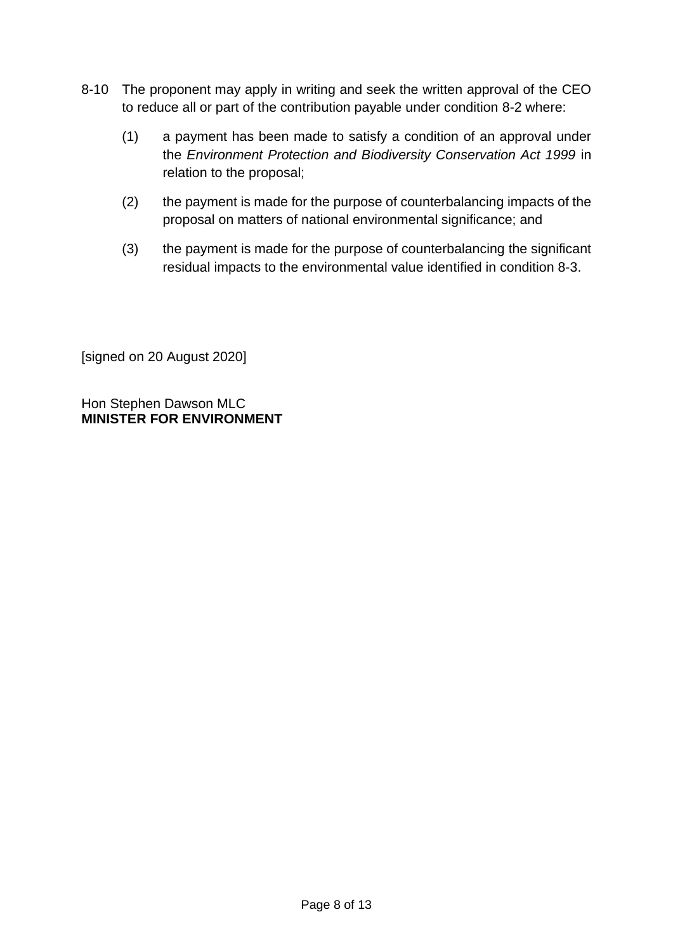- 8-10 The proponent may apply in writing and seek the written approval of the CEO to reduce all or part of the contribution payable under condition 8-2 where:
	- (1) a payment has been made to satisfy a condition of an approval under the *Environment Protection and Biodiversity Conservation Act 1999* in relation to the proposal;
	- (2) the payment is made for the purpose of counterbalancing impacts of the proposal on matters of national environmental significance; and
	- (3) the payment is made for the purpose of counterbalancing the significant residual impacts to the environmental value identified in condition 8-3.

[signed on 20 August 2020]

Hon Stephen Dawson MLC **MINISTER FOR ENVIRONMENT**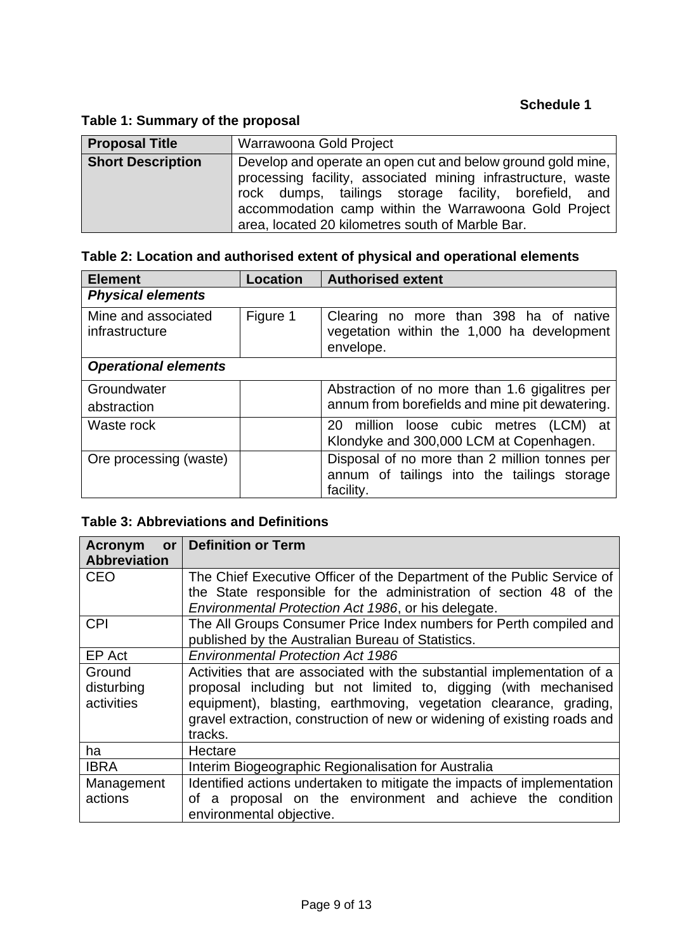## **Table 1: Summary of the proposal**

| <b>Proposal Title</b>    | Warrawoona Gold Project                                                                                                                                                                                                                                                                           |  |  |
|--------------------------|---------------------------------------------------------------------------------------------------------------------------------------------------------------------------------------------------------------------------------------------------------------------------------------------------|--|--|
| <b>Short Description</b> | Develop and operate an open cut and below ground gold mine,<br>processing facility, associated mining infrastructure, waste<br>rock dumps, tailings storage facility, borefield, and<br>accommodation camp within the Warrawoona Gold Project<br>area, located 20 kilometres south of Marble Bar. |  |  |

# **Table 2: Location and authorised extent of physical and operational elements**

| <b>Element</b>                        | <b>Location</b> | <b>Authorised extent</b>                                                                          |
|---------------------------------------|-----------------|---------------------------------------------------------------------------------------------------|
| <b>Physical elements</b>              |                 |                                                                                                   |
| Mine and associated<br>infrastructure | Figure 1        | Clearing no more than 398 ha of native<br>vegetation within the 1,000 ha development<br>envelope. |
| <b>Operational elements</b>           |                 |                                                                                                   |
| Groundwater                           |                 | Abstraction of no more than 1.6 gigalitres per                                                    |
| abstraction                           |                 | annum from borefields and mine pit dewatering.                                                    |
| Waste rock                            |                 | 20 million loose cubic metres (LCM) at                                                            |
|                                       |                 | Klondyke and 300,000 LCM at Copenhagen.                                                           |
| Ore processing (waste)                |                 | Disposal of no more than 2 million tonnes per                                                     |
|                                       |                 | annum of tailings into the tailings storage                                                       |
|                                       |                 | facility.                                                                                         |

# **Table 3: Abbreviations and Definitions**

| Acronym             | or   Definition or Term                                                  |  |  |
|---------------------|--------------------------------------------------------------------------|--|--|
| <b>Abbreviation</b> |                                                                          |  |  |
| <b>CEO</b>          | The Chief Executive Officer of the Department of the Public Service of   |  |  |
|                     | the State responsible for the administration of section 48 of the        |  |  |
|                     | Environmental Protection Act 1986, or his delegate.                      |  |  |
| <b>CPI</b>          | The All Groups Consumer Price Index numbers for Perth compiled and       |  |  |
|                     | published by the Australian Bureau of Statistics.                        |  |  |
| EP Act              | <b>Environmental Protection Act 1986</b>                                 |  |  |
| Ground              | Activities that are associated with the substantial implementation of a  |  |  |
| disturbing          | proposal including but not limited to, digging (with mechanised          |  |  |
| activities          | equipment), blasting, earthmoving, vegetation clearance, grading,        |  |  |
|                     | gravel extraction, construction of new or widening of existing roads and |  |  |
|                     | tracks.                                                                  |  |  |
| ha                  | Hectare                                                                  |  |  |
| <b>IBRA</b>         | Interim Biogeographic Regionalisation for Australia                      |  |  |
| Management          | Identified actions undertaken to mitigate the impacts of implementation  |  |  |
| actions             | of a proposal on the environment and achieve the condition               |  |  |
|                     | environmental objective.                                                 |  |  |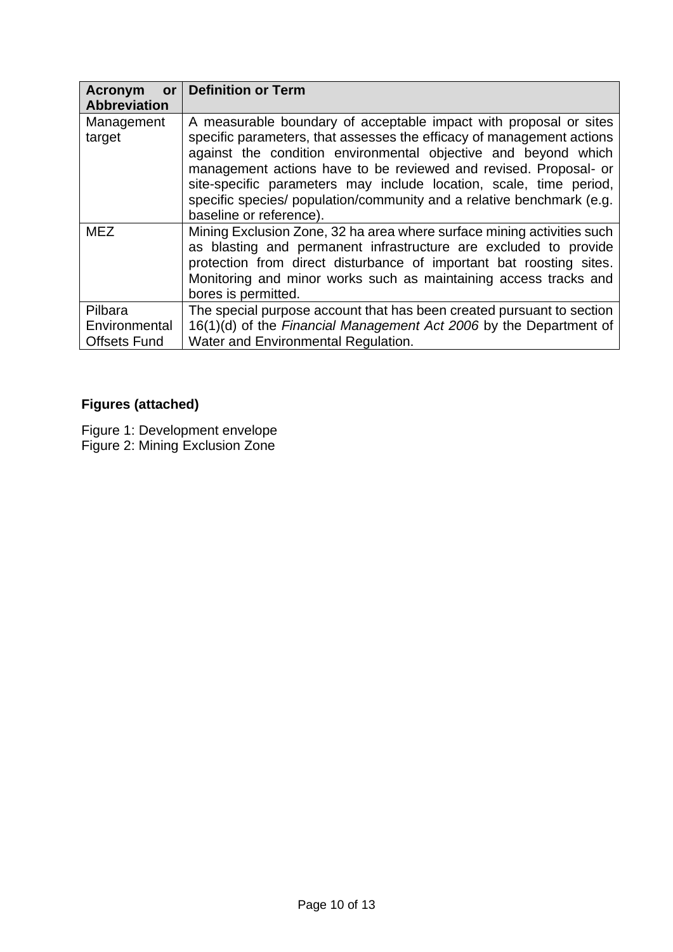| <b>Acronym</b><br><b>or</b>                     | <b>Definition or Term</b>                                                                                                                                                                                                                                                                                                                                                                                                                                  |
|-------------------------------------------------|------------------------------------------------------------------------------------------------------------------------------------------------------------------------------------------------------------------------------------------------------------------------------------------------------------------------------------------------------------------------------------------------------------------------------------------------------------|
| <b>Abbreviation</b>                             |                                                                                                                                                                                                                                                                                                                                                                                                                                                            |
| Management<br>target                            | A measurable boundary of acceptable impact with proposal or sites<br>specific parameters, that assesses the efficacy of management actions<br>against the condition environmental objective and beyond which<br>management actions have to be reviewed and revised. Proposal- or<br>site-specific parameters may include location, scale, time period,<br>specific species/ population/community and a relative benchmark (e.g.<br>baseline or reference). |
| <b>MEZ</b>                                      | Mining Exclusion Zone, 32 ha area where surface mining activities such<br>as blasting and permanent infrastructure are excluded to provide<br>protection from direct disturbance of important bat roosting sites.<br>Monitoring and minor works such as maintaining access tracks and<br>bores is permitted.                                                                                                                                               |
| Pilbara<br>Environmental<br><b>Offsets Fund</b> | The special purpose account that has been created pursuant to section<br>16(1)(d) of the Financial Management Act 2006 by the Department of<br>Water and Environmental Regulation.                                                                                                                                                                                                                                                                         |

# **Figures (attached)**

Figure 1: Development envelope Figure 2: Mining Exclusion Zone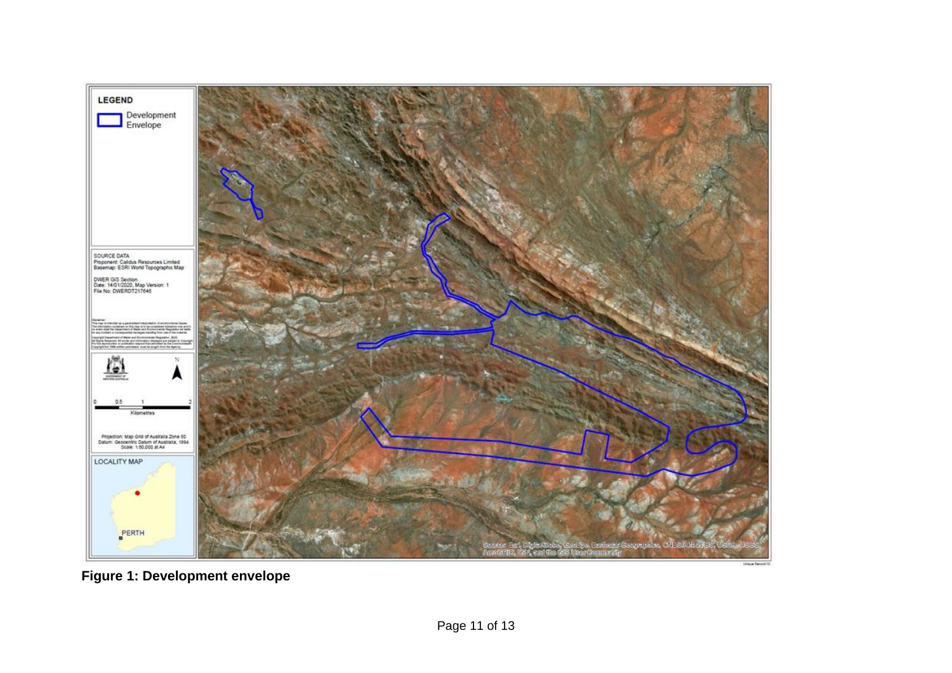

**Figure 1: Development envelope**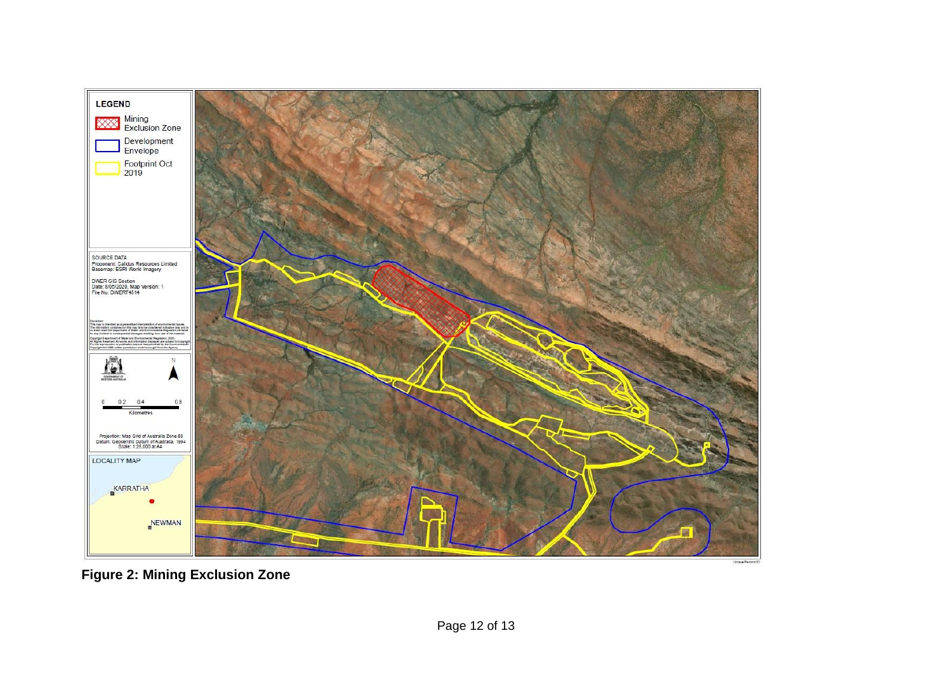

**Figure 2: Mining Exclusion Zone**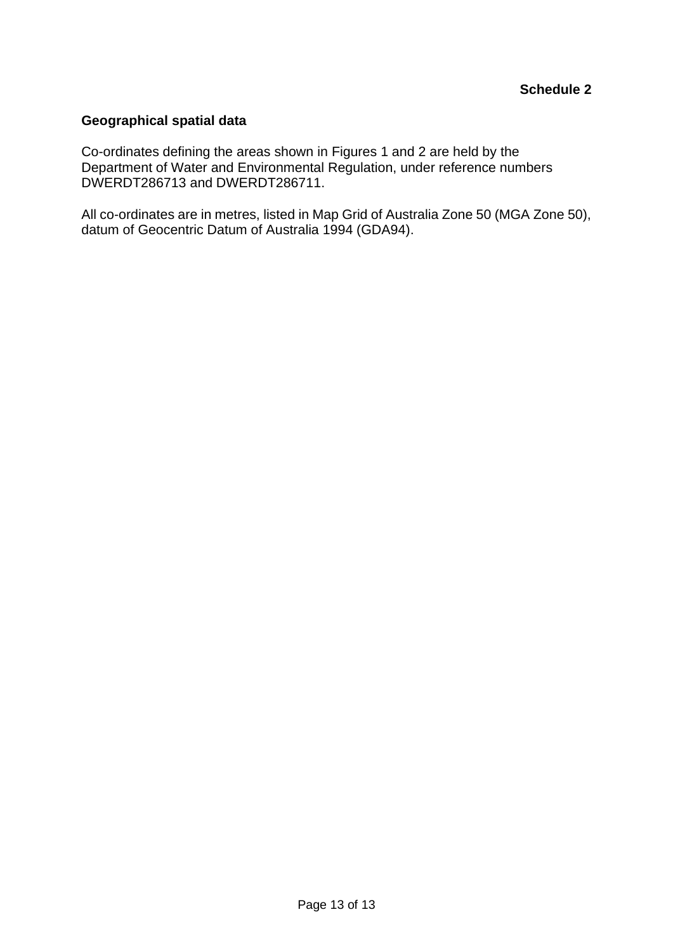#### **Geographical spatial data**

Co-ordinates defining the areas shown in Figures 1 and 2 are held by the Department of Water and Environmental Regulation, under reference numbers DWERDT286713 and DWERDT286711.

All co-ordinates are in metres, listed in Map Grid of Australia Zone 50 (MGA Zone 50), datum of Geocentric Datum of Australia 1994 (GDA94).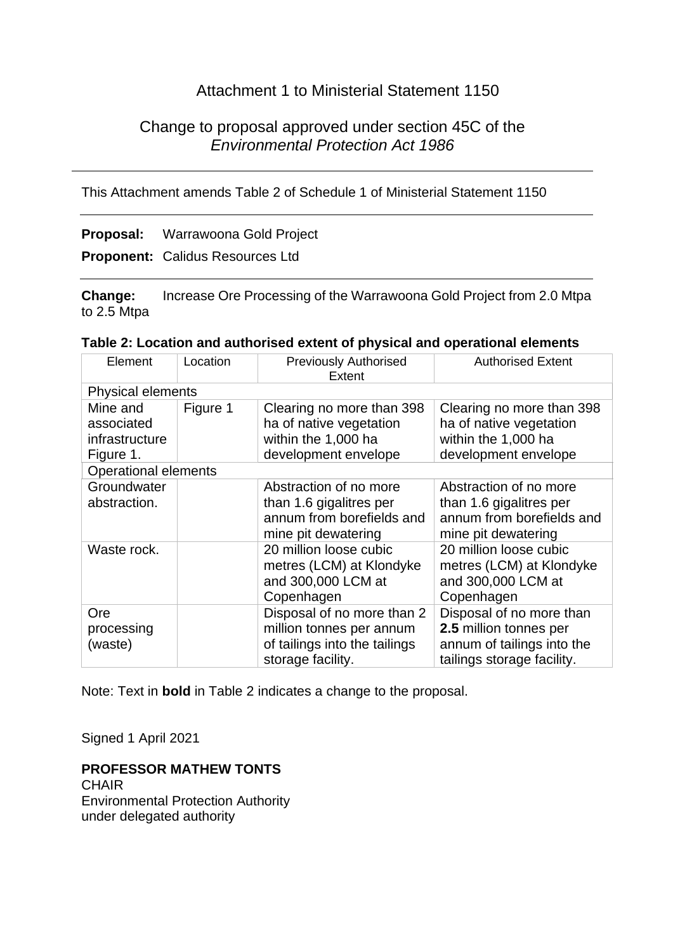## Attachment 1 to Ministerial Statement 1150

## Change to proposal approved under section 45C of the *Environmental Protection Act 1986*

This Attachment amends Table 2 of Schedule 1 of Ministerial Statement 1150

## **Proposal:** Warrawoona Gold Project

**Proponent:** Calidus Resources Ltd

**Change:** Increase Ore Processing of the Warrawoona Gold Project from 2.0 Mtpa to 2.5 Mtpa

| Element                                               | Location | <b>Previously Authorised</b><br>Extent                                                                       | <b>Authorised Extent</b>                                                                                       |
|-------------------------------------------------------|----------|--------------------------------------------------------------------------------------------------------------|----------------------------------------------------------------------------------------------------------------|
| <b>Physical elements</b>                              |          |                                                                                                              |                                                                                                                |
| Mine and<br>associated<br>infrastructure<br>Figure 1. | Figure 1 | Clearing no more than 398<br>ha of native vegetation<br>within the 1,000 ha<br>development envelope          | Clearing no more than 398<br>ha of native vegetation<br>within the 1,000 ha<br>development envelope            |
| <b>Operational elements</b>                           |          |                                                                                                              |                                                                                                                |
| Groundwater<br>abstraction.                           |          | Abstraction of no more<br>than 1.6 gigalitres per<br>annum from borefields and<br>mine pit dewatering        | Abstraction of no more<br>than 1.6 gigalitres per<br>annum from borefields and<br>mine pit dewatering          |
| Waste rock.                                           |          | 20 million loose cubic<br>metres (LCM) at Klondyke<br>and 300,000 LCM at<br>Copenhagen                       | 20 million loose cubic<br>metres (LCM) at Klondyke<br>and 300,000 LCM at<br>Copenhagen                         |
| Ore<br>processing<br>(waste)                          |          | Disposal of no more than 2<br>million tonnes per annum<br>of tailings into the tailings<br>storage facility. | Disposal of no more than<br>2.5 million tonnes per<br>annum of tailings into the<br>tailings storage facility. |

#### **Table 2: Location and authorised extent of physical and operational elements**

Note: Text in **bold** in Table 2 indicates a change to the proposal.

Signed 1 April 2021

#### **PROFESSOR MATHEW TONTS**

**CHAIR** Environmental Protection Authority under delegated authority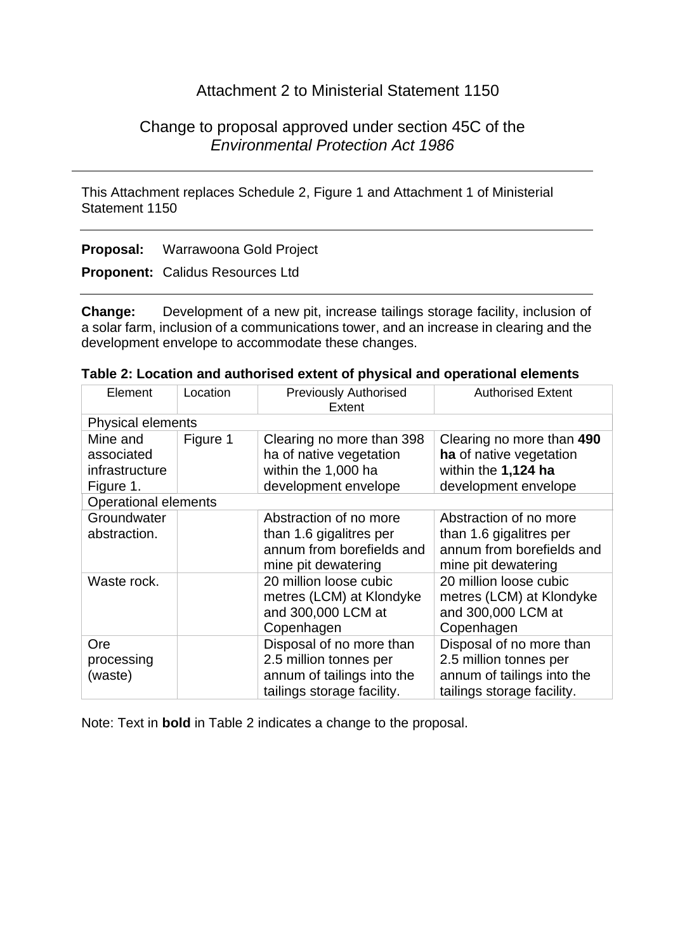## Attachment 2 to Ministerial Statement 1150

## Change to proposal approved under section 45C of the *Environmental Protection Act 1986*

This Attachment replaces Schedule 2, Figure 1 and Attachment 1 of Ministerial Statement 1150

**Proposal:** Warrawoona Gold Project

**Proponent:** Calidus Resources Ltd

**Change:** Development of a new pit, increase tailings storage facility, inclusion of a solar farm, inclusion of a communications tower, and an increase in clearing and the development envelope to accommodate these changes.

| Table 2: Location and authorised extent of physical and operational elements |  |  |  |  |
|------------------------------------------------------------------------------|--|--|--|--|
|------------------------------------------------------------------------------|--|--|--|--|

| Element                                               | Location                 | <b>Previously Authorised</b><br>Extent                                                                         | <b>Authorised Extent</b>                                                                                       |  |  |
|-------------------------------------------------------|--------------------------|----------------------------------------------------------------------------------------------------------------|----------------------------------------------------------------------------------------------------------------|--|--|
|                                                       | <b>Physical elements</b> |                                                                                                                |                                                                                                                |  |  |
| Mine and<br>associated<br>infrastructure<br>Figure 1. | Figure 1                 | Clearing no more than 398<br>ha of native vegetation<br>within the 1,000 ha<br>development envelope            | Clearing no more than 490<br>ha of native vegetation<br>within the 1,124 ha<br>development envelope            |  |  |
| <b>Operational elements</b>                           |                          |                                                                                                                |                                                                                                                |  |  |
| Groundwater<br>abstraction.                           |                          | Abstraction of no more<br>than 1.6 gigalitres per<br>annum from borefields and<br>mine pit dewatering          | Abstraction of no more<br>than 1.6 gigalitres per<br>annum from borefields and<br>mine pit dewatering          |  |  |
| Waste rock.                                           |                          | 20 million loose cubic<br>metres (LCM) at Klondyke<br>and 300,000 LCM at<br>Copenhagen                         | 20 million loose cubic<br>metres (LCM) at Klondyke<br>and 300,000 LCM at<br>Copenhagen                         |  |  |
| <b>Ore</b><br>processing<br>(waste)                   |                          | Disposal of no more than<br>2.5 million tonnes per<br>annum of tailings into the<br>tailings storage facility. | Disposal of no more than<br>2.5 million tonnes per<br>annum of tailings into the<br>tailings storage facility. |  |  |

Note: Text in **bold** in Table 2 indicates a change to the proposal.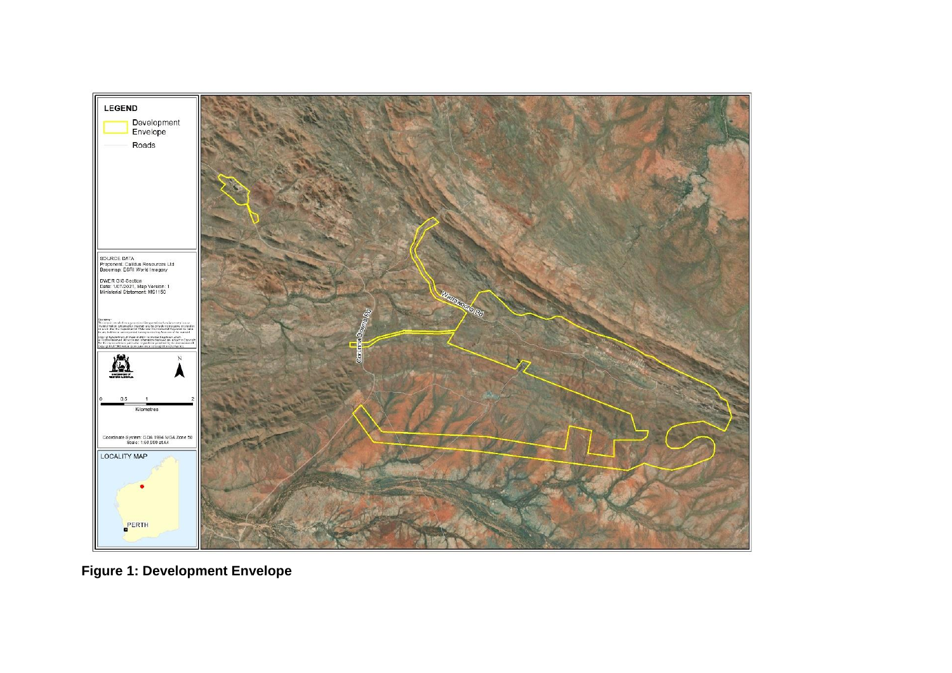

**Figure 1: Development Envelope**